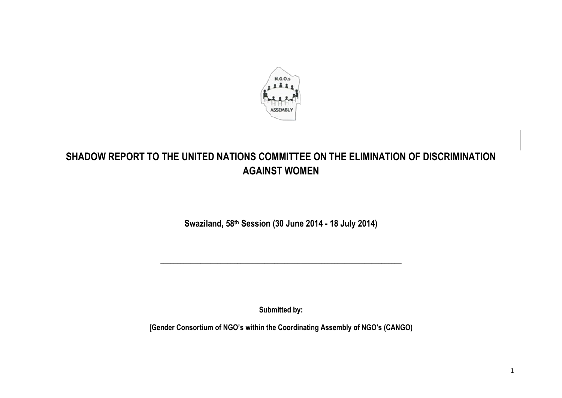

# **SHADOW REPORT TO THE UNITED NATIONS COMMITTEE ON THE ELIMINATION OF DISCRIMINATION AGAINST WOMEN**

**Swaziland, 58th Session (30 June 2014 - 18 July 2014)**

**\_\_\_\_\_\_\_\_\_\_\_\_\_\_\_\_\_\_\_\_\_\_\_\_\_\_\_\_\_\_\_\_\_\_\_\_\_\_\_\_\_\_\_\_\_\_\_\_\_\_\_\_\_\_\_\_\_\_\_\_\_\_\_\_\_\_\_\_\_\_\_\_**

**Submitted by:** 

**[Gender Consortium of NGO's within the Coordinating Assembly of NGO's (CANGO)**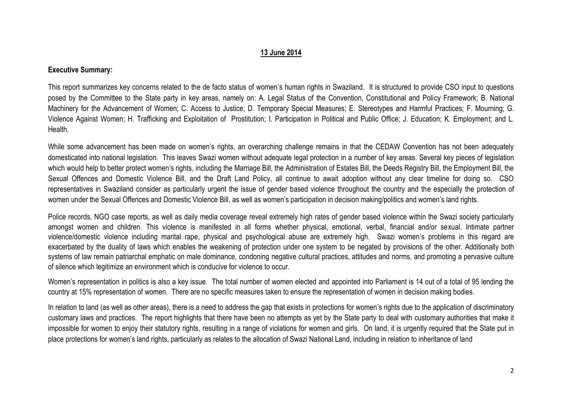### **13 June 2014**

### **Executive Summary:**

This report summarizes key concerns related to the de facto status of women's human rights in Swaziland. It is structured to provide CSO input to questions posed by the Committee to the State party in key areas, namely on: A. Legal Status of the Convention, Constitutional and Policy Framework; B. National Machinery for the Advancement of Women; C. Access to Justice; D. Temporary Special Measures; E. Stereotypes and Harmful Practices; F. Mourning; G. Violence Against Women; H. Trafficking and Exploitation of Prostitution; I. Participation in Political and Public Office; J. Education; K. Employment; and L. Health.

While some advancement has been made on women's rights, an overarching challenge remains in that the CEDAW Convention has not been adequately domesticated into national legislation. This leaves Swazi women without adequate legal protection in a number of key areas. Several key pieces of legislation which would help to better protect women's rights, including the Marriage Bill, the Administration of Estates Bill, the Deeds Registry Bill, the Employment Bill, the Sexual Offences and Domestic Violence Bill, and the Draft Land Policy, all continue to await adoption without any clear timeline for doing so. CSO representatives in Swaziland consider as particularly urgent the issue of gender based violence throughout the country and the especially the protection of women under the Sexual Offences and Domestic Violence Bill, as well as women's participation in decision making/politics and women's land rights.

Police records, NGO case reports, as well as daily media coverage reveal extremely high rates of gender based violence within the Swazi society particularly amongst women and children. This violence is manifested in all forms whether physical, emotional, verbal, financial and/or sexual. Intimate partner violence/domestic violence including marital rape, physical and psychological abuse are extremely high. Swazi women's problems in this regard are exacerbated by the duality of laws which enables the weakening of protection under one system to be negated by provisions of the other. Additionally both systems of law remain patriarchal emphatic on male dominance, condoning negative cultural practices, attitudes and norms, and promoting a pervasive culture of silence which legitimize an environment which is conducive for violence to occur.

Women's representation in politics is also a key issue. The total number of women elected and appointed into Parliament is 14 out of a total of 95 lending the country at 15% representation of women. There are no specific measures taken to ensure the representation of women in decision making bodies.

In relation to land (as well as other areas), there is a need to address the gap that exists in protections for women's rights due to the application of discriminatory customary laws and practices. The report highlights that there have been no attempts as yet by the State party to deal with customary authorities that make it impossible for women to enjoy their statutory rights, resulting in a range of violations for women and girls. On land, it is urgently required that the State put in place protections for women's land rights, particularly as relates to the allocation of Swazi National Land, including in relation to inheritance of land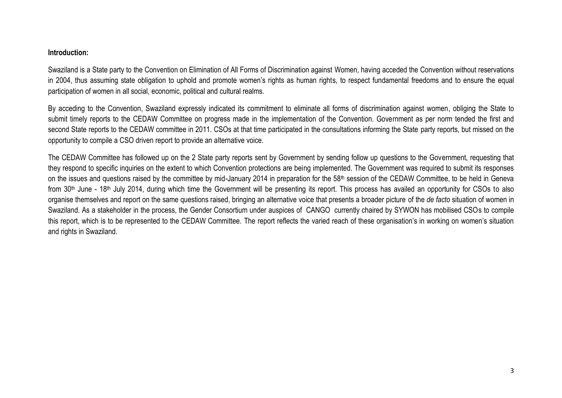### **Introduction:**

Swaziland is a State party to the Convention on Elimination of All Forms of Discrimination against Women, having acceded the Convention without reservations in 2004, thus assuming state obligation to uphold and promote women's rights as human rights, to respect fundamental freedoms and to ensure the equal participation of women in all social, economic, political and cultural realms.

By acceding to the Convention, Swaziland expressly indicated its commitment to eliminate all forms of discrimination against women, obliging the State to submit timely reports to the CEDAW Committee on progress made in the implementation of the Convention. Government as per norm tended the first and second State reports to the CEDAW committee in 2011. CSOs at that time participated in the consultations informing the State party reports, but missed on the opportunity to compile a CSO driven report to provide an alternative voice.

The CEDAW Committee has followed up on the 2 State party reports sent by Government by sending follow up questions to the Government, requesting that they respond to specific inquiries on the extent to which Convention protections are being implemented. The Government was required to submit its responses on the issues and questions raised by the committee by mid-January 2014 in preparation for the 58<sup>th</sup> session of the CEDAW Committee, to be held in Geneva from 30<sup>th</sup> June - 18<sup>th</sup> July 2014, during which time the Government will be presenting its report. This process has availed an opportunity for CSOs to also organise themselves and report on the same questions raised, bringing an alternative voice that presents a broader picture of the *de facto* situation of women in Swaziland. As a stakeholder in the process, the Gender Consortium under auspices of CANGO currently chaired by SYWON has mobilised CSOs to compile this report, which is to be represented to the CEDAW Committee. The report reflects the varied reach of these organisation's in working on women's situation and rights in Swaziland.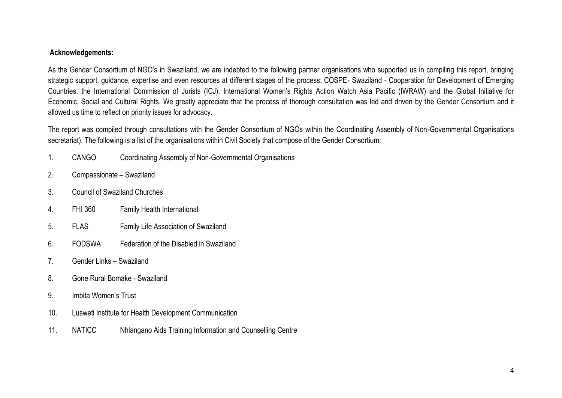### **Acknowledgements:**

As the Gender Consortium of NGO's in Swaziland, we are indebted to the following partner organisations who supported us in compiling this report, bringing strategic support, guidance, expertise and even resources at different stages of the process: COSPE- Swaziland - Cooperation for Development of Emerging Countries, the International Commission of Jurists (ICJ), International Women's Rights Action Watch Asia Pacific (IWRAW) and the Global Initiative for Economic, Social and Cultural Rights. We greatly appreciate that the process of thorough consultation was led and driven by the Gender Consortium and it allowed us time to reflect on priority issues for advocacy.

The report was compiled through consultations with the Gender Consortium of NGOs within the Coordinating Assembly of Non-Governmental Organisations secretariat). The following is a list of the organisations within Civil Society that compose of the Gender Consortium:

- 1. CANGO Coordinating Assembly of Non-Governmental Organisations
- 2. Compassionate Swaziland
- 3. Council of Swaziland Churches
- 4. FHI 360 Family Health International
- 5. FLAS Family Life Association of Swaziland
- 6. FODSWA Federation of the Disabled in Swaziland
- 7. Gender Links Swaziland
- 8. Gone Rural Bomake Swaziland
- 9. Imbita Women's Trust
- 10. Lusweti Institute for Health Development Communication
- 11. NATICC Nhlangano Aids Training Information and Counselling Centre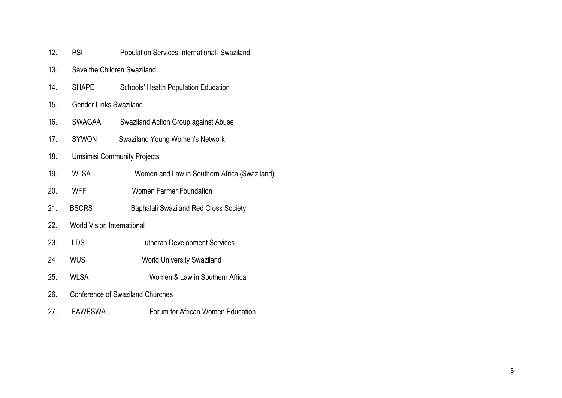| 12. | PSI                                | <b>Population Services International- Swaziland</b> |
|-----|------------------------------------|-----------------------------------------------------|
| 13. |                                    | Save the Children Swaziland                         |
| 14. | <b>SHAPE</b>                       | Schools' Health Population Education                |
| 15. | <b>Gender Links Swaziland</b>      |                                                     |
| 16. | <b>SWAGAA</b>                      | Swaziland Action Group against Abuse                |
| 17. | <b>SYWON</b>                       | Swaziland Young Women's Network                     |
| 18. | <b>Umsimisi Community Projects</b> |                                                     |
| 19. | <b>WLSA</b>                        | Women and Law in Southern Africa (Swaziland)        |
| 20. | <b>WFF</b>                         | <b>Women Farmer Foundation</b>                      |
| 21. | <b>BSCRS</b>                       | <b>Baphalali Swaziland Red Cross Society</b>        |
| 22. | <b>World Vision International</b>  |                                                     |
| 23. | LDS                                | <b>Lutheran Development Services</b>                |
| 24  | <b>WUS</b>                         | <b>World University Swaziland</b>                   |
| 25. | <b>WLSA</b>                        | Women & Law in Southern Africa                      |
| 26. |                                    | <b>Conference of Swaziland Churches</b>             |
| 27. | <b>FAWESWA</b>                     | Forum for African Women Education                   |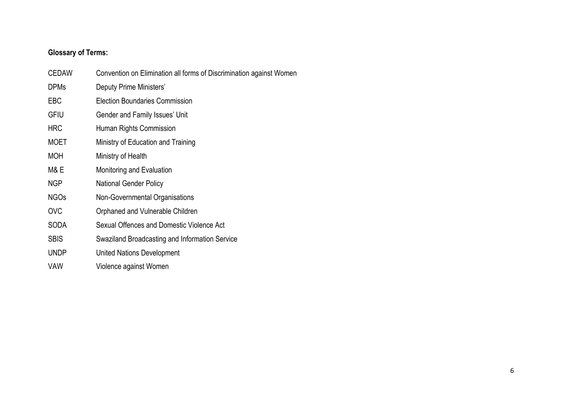# **Glossary of Terms:**

| CEDAW       | Convention on Elimination all forms of Discrimination against Women |
|-------------|---------------------------------------------------------------------|
| <b>DPMs</b> | Deputy Prime Ministers'                                             |
| <b>EBC</b>  | <b>Election Boundaries Commission</b>                               |
| <b>GFIU</b> | Gender and Family Issues' Unit                                      |
| <b>HRC</b>  | Human Rights Commission                                             |
| <b>MOET</b> | Ministry of Education and Training                                  |
| <b>MOH</b>  | Ministry of Health                                                  |
| M& E        | Monitoring and Evaluation                                           |
| NGP         | <b>National Gender Policy</b>                                       |
| <b>NGOs</b> | Non-Governmental Organisations                                      |
| <b>OVC</b>  | Orphaned and Vulnerable Children                                    |
| <b>SODA</b> | Sexual Offences and Domestic Violence Act                           |
| <b>SBIS</b> | Swaziland Broadcasting and Information Service                      |
| <b>UNDP</b> | <b>United Nations Development</b>                                   |
| VAW         | Violence against Women                                              |
|             |                                                                     |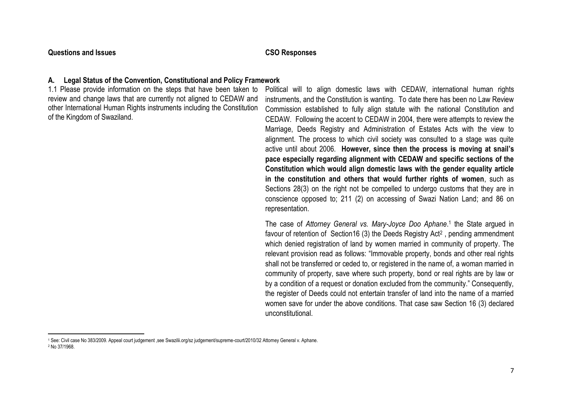### **Questions and Issues CSO Responses**

# **A. Legal Status of the Convention, Constitutional and Policy Framework**

1.1 Please provide information on the steps that have been taken to review and change laws that are currently not aligned to CEDAW and other International Human Rights instruments including the Constitution of the Kingdom of Swaziland.

Political will to align domestic laws with CEDAW, international human rights instruments, and the Constitution is wanting. To date there has been no Law Review Commission established to fully align statute with the national Constitution and CEDAW. Following the accent to CEDAW in 2004, there were attempts to review the Marriage, Deeds Registry and Administration of Estates Acts with the view to alignment. The process to which civil society was consulted to a stage was quite active until about 2006. **However, since then the process is moving at snail's pace especially regarding alignment with CEDAW and specific sections of the Constitution which would align domestic laws with the gender equality article in the constitution and others that would further rights of women**, such as Sections 28(3) on the right not be compelled to undergo customs that they are in conscience opposed to; 211 (2) on accessing of Swazi Nation Land; and 86 on representation.

The case of *Attorney General vs. Mary-Joyce Doo Aphane*. 1 the State argued in favour of retention of Section16 (3) the Deeds Registry Act<sup>2</sup>, pending ammendment which denied registration of land by women married in community of property. The relevant provision read as follows: "Immovable property, bonds and other real rights shall not be transferred or ceded to, or registered in the name of, a woman married in community of property, save where such property, bond or real rights are by law or by a condition of a request or donation excluded from the community." Consequently, the register of Deeds could not entertain transfer of land into the name of a married women save for under the above conditions. That case saw Section 16 (3) declared unconstitutional.

 $\overline{\phantom{a}}$ <sup>1</sup> See: Civil case No 383/2009. Appeal court judgement ,see Swazilii.org/sz judgement/supreme-court/2010/32 Attorney General v. Aphane. <sup>2</sup> No 37/1968.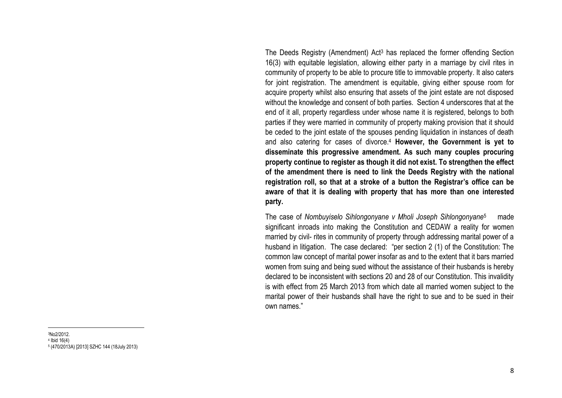The Deeds Registry (Amendment) Act<sup>3</sup> has replaced the former offending Section 16(3) with equitable legislation, allowing either party in a marriage by civil rites in community of property to be able to procure title to immovable property. It also caters for joint registration. The amendment is equitable, giving either spouse room for acquire property whilst also ensuring that assets of the joint estate are not disposed without the knowledge and consent of both parties. Section 4 underscores that at the end of it all, property regardless under whose name it is registered, belongs to both parties if they were married in community of property making provision that it should be ceded to the joint estate of the spouses pending liquidation in instances of death and also catering for cases of divorce.<sup>4</sup> **However, the Government is yet to disseminate this progressive amendment. As such many couples procuring property continue to register as though it did not exist. To strengthen the effect of the amendment there is need to link the Deeds Registry with the national registration roll, so that at a stroke of a button the Registrar's office can be aware of that it is dealing with property that has more than one interested party.** 

The case of *Nombuyiselo Sihlongonyane v Mholi Joseph Sihlongonyane*<sup>5</sup> made significant inroads into making the Constitution and CEDAW a reality for women married by civil- rites in community of property through addressing marital power of a husband in litigation. The case declared: "per section 2 (1) of the Constitution: The common law concept of marital power insofar as and to the extent that it bars married women from suing and being sued without the assistance of their husbands is hereby declared to be inconsistent with sections 20 and 28 of our Constitution. This invalidity is with effect from 25 March 2013 from which date all married women subject to the marital power of their husbands shall have the right to sue and to be sued in their own names."

<sup>3</sup>No2/2012. 4 Ibid 16(4) 5 (470/2013A) [2013] SZHC 144 (18July 2013)

 $\overline{\phantom{a}}$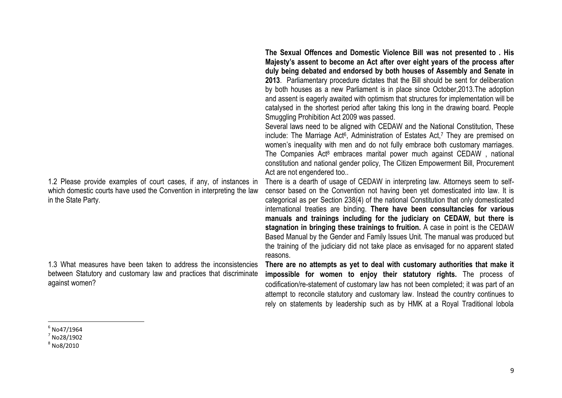1.2 Please provide examples of court cases, if any, of instances in which domestic courts have used the Convention in interpreting the law in the State Party.

1.3 What measures have been taken to address the inconsistencies between Statutory and customary law and practices that discriminate against women?

**The Sexual Offences and Domestic Violence Bill was not presented to . His Majesty's assent to become an Act after over eight years of the process after duly being debated and endorsed by both houses of Assembly and Senate in 2013**. Parliamentary procedure dictates that the Bill should be sent for deliberation by both houses as a new Parliament is in place since October,2013.The adoption and assent is eagerly awaited with optimism that structures for implementation will be catalysed in the shortest period after taking this long in the drawing board. People Smuggling Prohibition Act 2009 was passed.

Several laws need to be aligned with CEDAW and the National Constitution, These include: The Marriage Act<sup>6</sup>, Administration of Estates Act,<sup>7</sup> They are premised on women's inequality with men and do not fully embrace both customary marriages. The Companies Act<sup>8</sup> embraces marital power much against CEDAW, national constitution and national gender policy, The Citizen Empowerment Bill, Procurement Act are not engendered too..

There is a dearth of usage of CEDAW in interpreting law. Attorneys seem to selfcensor based on the Convention not having been yet domesticated into law. It is categorical as per Section 238(4) of the national Constitution that only domesticated international treaties are binding. **There have been consultancies for various manuals and trainings including for the judiciary on CEDAW, but there is stagnation in bringing these trainings to fruition.** A case in point is the CEDAW Based Manual by the Gender and Family Issues Unit. The manual was produced but the training of the judiciary did not take place as envisaged for no apparent stated reasons.

**There are no attempts as yet to deal with customary authorities that make it impossible for women to enjoy their statutory rights.** The process of codification/re-statement of customary law has not been completed; it was part of an attempt to reconcile statutory and customary law. Instead the country continues to rely on statements by leadership such as by HMK at a Royal Traditional lobola

 $\overline{\phantom{a}}$  $^6$  No47/1964

 $<sup>7</sup>$  No28/1902</sup>  $^8$  No8/2010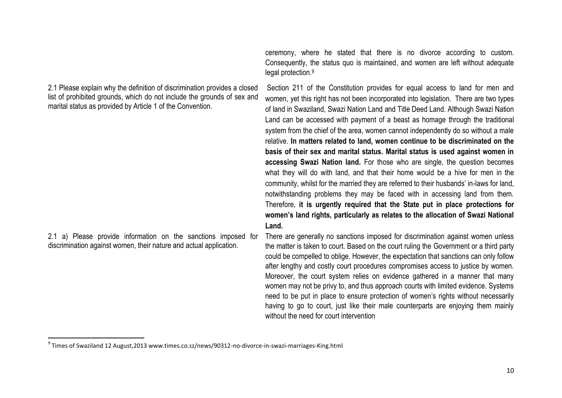2.1 Please explain why the definition of discrimination provides a closed list of prohibited grounds, which do not include the grounds of sex and marital status as provided by Article 1 of the Convention.

2.1 a) Please provide information on the sanctions imposed for discrimination against women, their nature and actual application.

 $\overline{\phantom{a}}$ 

ceremony, where he stated that there is no divorce according to custom. Consequently, the status quo is maintained, and women are left without adequate legal protection. 9

Section 211 of the Constitution provides for equal access to land for men and women, yet this right has not been incorporated into legislation. There are two types of land in Swaziland, Swazi Nation Land and Title Deed Land. Although Swazi Nation Land can be accessed with payment of a beast as homage through the traditional system from the chief of the area, women cannot independently do so without a male relative. **In matters related to land, women continue to be discriminated on the basis of their sex and marital status. Marital status is used against women in accessing Swazi Nation land.** For those who are single, the question becomes what they will do with land, and that their home would be a hive for men in the community, whilst for the married they are referred to their husbands' in-laws for land, notwithstanding problems they may be faced with in accessing land from them. Therefore, **it is urgently required that the State put in place protections for women's land rights, particularly as relates to the allocation of Swazi National Land.**

There are generally no sanctions imposed for discrimination against women unless the matter is taken to court. Based on the court ruling the Government or a third party could be compelled to oblige. However, the expectation that sanctions can only follow after lengthy and costly court procedures compromises access to justice by women. Moreover, the court system relies on evidence gathered in a manner that many women may not be privy to, and thus approach courts with limited evidence. Systems need to be put in place to ensure protection of women's rights without necessarily having to go to court, just like their male counterparts are enjoying them mainly without the need for court intervention

 $^9$  Times of Swaziland 12 August,2013 www.times.co.sz/news/90312-no-divorce-in-swazi-marriages-King.html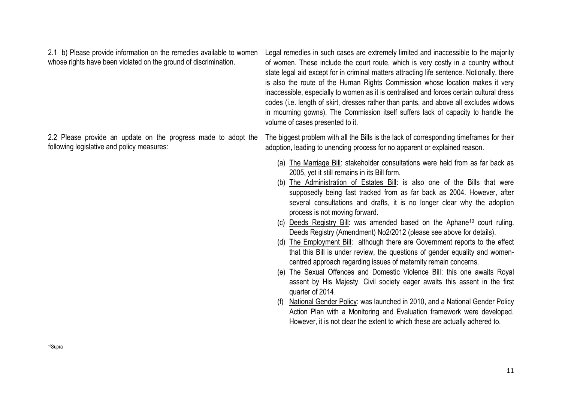2.1 b) Please provide information on the remedies available to women whose rights have been violated on the ground of discrimination.

following legislative and policy measures:

Legal remedies in such cases are extremely limited and inaccessible to the majority of women. These include the court route, which is very costly in a country without state legal aid except for in criminal matters attracting life sentence. Notionally, there is also the route of the Human Rights Commission whose location makes it very inaccessible, especially to women as it is centralised and forces certain cultural dress codes (i.e. length of skirt, dresses rather than pants, and above all excludes widows in mourning gowns). The Commission itself suffers lack of capacity to handle the volume of cases presented to it.

2.2 Please provide an update on the progress made to adopt the The biggest problem with all the Bills is the lack of corresponding timeframes for their adoption, leading to unending process for no apparent or explained reason.

- (a) The Marriage Bill: stakeholder consultations were held from as far back as 2005, yet it still remains in its Bill form.
- (b) The Administration of Estates Bill: is also one of the Bills that were supposedly being fast tracked from as far back as 2004. However, after several consultations and drafts, it is no longer clear why the adoption process is not moving forward.
- (c) Deeds Registry Bill: was amended based on the Aphane<sup>10</sup> court ruling. Deeds Registry (Amendment) No2/2012 (please see above for details).
- (d) The Employment Bill: although there are Government reports to the effect that this Bill is under review, the questions of gender equality and womencentred approach regarding issues of maternity remain concerns.
- (e) The Sexual Offences and Domestic Violence Bill: this one awaits Royal assent by His Majesty. Civil society eager awaits this assent in the first quarter of 2014.
- (f) National Gender Policy: was launched in 2010, and a National Gender Policy Action Plan with a Monitoring and Evaluation framework were developed. However, it is not clear the extent to which these are actually adhered to.

 $\overline{\phantom{a}}$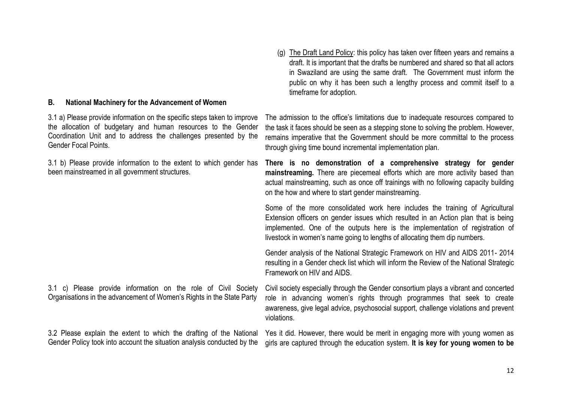### **B. National Machinery for the Advancement of Women**

3.1 a) Please provide information on the specific steps taken to improve the allocation of budgetary and human resources to the Gender Coordination Unit and to address the challenges presented by the Gender Focal Points.

3.1 b) Please provide information to the extent to which gender has been mainstreamed in all government structures.

3.1 c) Please provide information on the role of Civil Society Organisations in the advancement of Women's Rights in the State Party

3.2 Please explain the extent to which the drafting of the National Gender Policy took into account the situation analysis conducted by the

(g) The Draft Land Policy: this policy has taken over fifteen years and remains a draft. It is important that the drafts be numbered and shared so that all actors in Swaziland are using the same draft. The Government must inform the public on why it has been such a lengthy process and commit itself to a timeframe for adoption.

The admission to the office's limitations due to inadequate resources compared to the task it faces should be seen as a stepping stone to solving the problem. However, remains imperative that the Government should be more committal to the process through giving time bound incremental implementation plan.

**There is no demonstration of a comprehensive strategy for gender mainstreaming.** There are piecemeal efforts which are more activity based than actual mainstreaming, such as once off trainings with no following capacity building on the how and where to start gender mainstreaming.

Some of the more consolidated work here includes the training of Agricultural Extension officers on gender issues which resulted in an Action plan that is being implemented. One of the outputs here is the implementation of registration of livestock in women's name going to lengths of allocating them dip numbers.

Gender analysis of the National Strategic Framework on HIV and AIDS 2011- 2014 resulting in a Gender check list which will inform the Review of the National Strategic Framework on HIV and AIDS.

Civil society especially through the Gender consortium plays a vibrant and concerted role in advancing women's rights through programmes that seek to create awareness, give legal advice, psychosocial support, challenge violations and prevent violations.

Yes it did. However, there would be merit in engaging more with young women as girls are captured through the education system. **It is key for young women to be**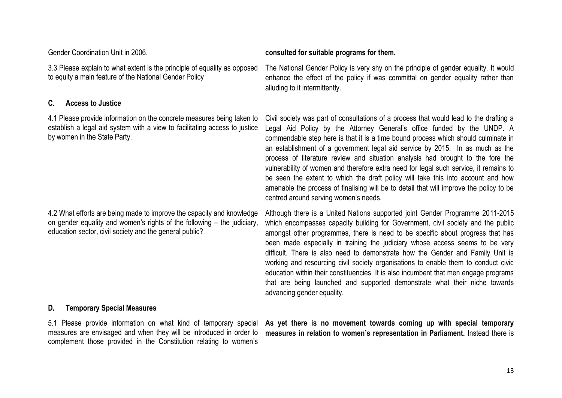3.3 Please explain to what extent is the principle of equality as opposed to equity a main feature of the National Gender Policy

# **C. Access to Justice**

4.1 Please provide information on the concrete measures being taken to establish a legal aid system with a view to facilitating access to justice by women in the State Party.

4.2 What efforts are being made to improve the capacity and knowledge on gender equality and women's rights of the following – the judiciary, education sector, civil society and the general public?

### **D. Temporary Special Measures**

measures are envisaged and when they will be introduced in order to complement those provided in the Constitution relating to women's

### Gender Coordination Unit in 2006. **consulted for suitable programs for them.**

The National Gender Policy is very shy on the principle of gender equality. It would enhance the effect of the policy if was committal on gender equality rather than alluding to it intermittently.

Civil society was part of consultations of a process that would lead to the drafting a Legal Aid Policy by the Attorney General's office funded by the UNDP. A commendable step here is that it is a time bound process which should culminate in an establishment of a government legal aid service by 2015. In as much as the process of literature review and situation analysis had brought to the fore the vulnerability of women and therefore extra need for legal such service, it remains to be seen the extent to which the draft policy will take this into account and how amenable the process of finalising will be to detail that will improve the policy to be centred around serving women's needs.

Although there is a United Nations supported joint Gender Programme 2011-2015 which encompasses capacity building for Government, civil society and the public amongst other programmes, there is need to be specific about progress that has been made especially in training the judiciary whose access seems to be very difficult. There is also need to demonstrate how the Gender and Family Unit is working and resourcing civil society organisations to enable them to conduct civic education within their constituencies. It is also incumbent that men engage programs that are being launched and supported demonstrate what their niche towards advancing gender equality.

5.1 Please provide information on what kind of temporary special **As yet there is no movement towards coming up with special temporary measures in relation to women's representation in Parliament.** Instead there is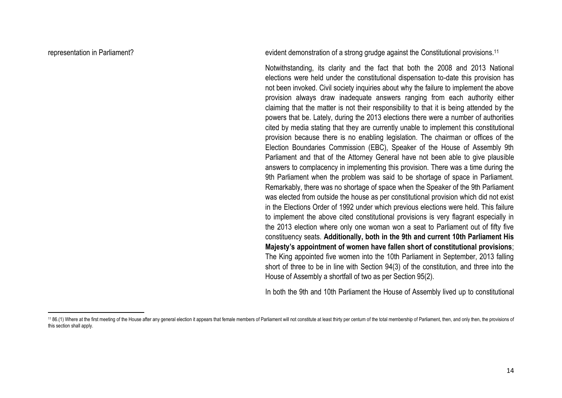$\overline{a}$ 

representation in Parliament? The strong strategies of a strong grudge against the Constitutional provisions.<sup>11</sup>

Notwithstanding, its clarity and the fact that both the 2008 and 2013 National elections were held under the constitutional dispensation to-date this provision has not been invoked. Civil society inquiries about why the failure to implement the above provision always draw inadequate answers ranging from each authority either claiming that the matter is not their responsibility to that it is being attended by the powers that be. Lately, during the 2013 elections there were a number of authorities cited by media stating that they are currently unable to implement this constitutional provision because there is no enabling legislation. The chairman or offices of the Election Boundaries Commission (EBC), Speaker of the House of Assembly 9th Parliament and that of the Attorney General have not been able to give plausible answers to complacency in implementing this provision. There was a time during the 9th Parliament when the problem was said to be shortage of space in Parliament. Remarkably, there was no shortage of space when the Speaker of the 9th Parliament was elected from outside the house as per constitutional provision which did not exist in the Elections Order of 1992 under which previous elections were held. This failure to implement the above cited constitutional provisions is very flagrant especially in the 2013 election where only one woman won a seat to Parliament out of fifty five constituency seats. **Additionally, both in the 9th and current 10th Parliament His Majesty's appointment of women have fallen short of constitutional provisions**; The King appointed five women into the 10th Parliament in September, 2013 falling short of three to be in line with Section 94(3) of the constitution, and three into the House of Assembly a shortfall of two as per Section 95(2).

In both the 9th and 10th Parliament the House of Assembly lived up to constitutional

<sup>11 86.(1)</sup> Where at the first meeting of the House after any general election it appears that female members of Parliament will not constitute at least thirty per centum of the total membership of Parliament, then, and only this section shall apply.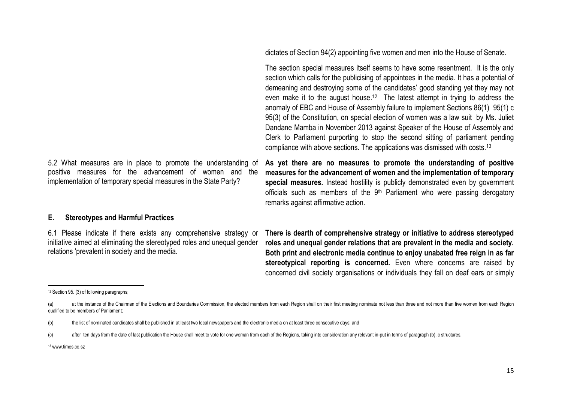5.2 What measures are in place to promote the understanding of positive measures for the advancement of women and the implementation of temporary special measures in the State Party?

dictates of Section 94(2) appointing five women and men into the House of Senate.

The section special measures itself seems to have some resentment. It is the only section which calls for the publicising of appointees in the media. It has a potential of demeaning and destroying some of the candidates' good standing yet they may not even make it to the august house.<sup>12</sup> The latest attempt in trying to address the anomaly of EBC and House of Assembly failure to implement Sections 86(1) 95(1) c 95(3) of the Constitution, on special election of women was a law suit by Ms. Juliet Dandane Mamba in November 2013 against Speaker of the House of Assembly and Clerk to Parliament purporting to stop the second sitting of parliament pending compliance with above sections. The applications was dismissed with costs.<sup>13</sup>

**As yet there are no measures to promote the understanding of positive measures for the advancement of women and the implementation of temporary special measures.** Instead hostility is publicly demonstrated even by government officials such as members of the  $9<sup>th</sup>$  Parliament who were passing derogatory remarks against affirmative action.

### **E. Stereotypes and Harmful Practices**

6.1 Please indicate if there exists any comprehensive strategy or initiative aimed at eliminating the stereotyped roles and unequal gender relations 'prevalent in society and the media.

**There is dearth of comprehensive strategy or initiative to address stereotyped roles and unequal gender relations that are prevalent in the media and society. Both print and electronic media continue to enjoy unabated free reign in as far stereotypical reporting is concerned.** Even where concerns are raised by concerned civil society organisations or individuals they fall on deaf ears or simply

 $\overline{a}$ 

<sup>12</sup> Section 95. (3) of following paragraphs;

<sup>(</sup>a) at the instance of the Chairman of the Elections and Boundaries Commission, the elected members from each Region shall on their first meeting nominate not less than three and not more than five women from each Region qualified to be members of Parliament;

<sup>(</sup>b) the list of nominated candidates shall be published in at least two local newspapers and the electronic media on at least three consecutive days; and

<sup>(</sup>c) after ten days from the date of last publication the House shall meet to vote for one woman from each of the Regions, taking into consideration any relevant in-put in terms of paragraph (b). c structures.

<sup>13</sup> www.times.co.sz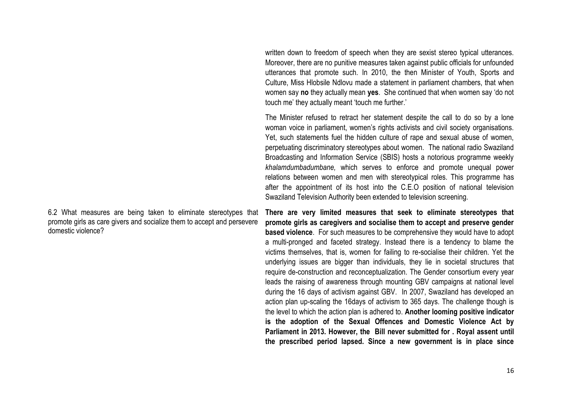written down to freedom of speech when they are sexist stereo typical utterances. Moreover, there are no punitive measures taken against public officials for unfounded utterances that promote such. In 2010, the then Minister of Youth, Sports and Culture, Miss Hlobsile Ndlovu made a statement in parliament chambers, that when women say **no** they actually mean **yes**. She continued that when women say 'do not touch me' they actually meant 'touch me further.'

The Minister refused to retract her statement despite the call to do so by a lone woman voice in parliament, women's rights activists and civil society organisations. Yet, such statements fuel the hidden culture of rape and sexual abuse of women, perpetuating discriminatory stereotypes about women. The national radio Swaziland Broadcasting and Information Service (SBIS) hosts a notorious programme weekly *khalamdumbadumbane,* which serves to enforce and promote unequal power relations between women and men with stereotypical roles. This programme has after the appointment of its host into the C.E.O position of national television Swaziland Television Authority been extended to television screening.

6.2 What measures are being taken to eliminate stereotypes that promote girls as care givers and socialize them to accept and persevere domestic violence?

**There are very limited measures that seek to eliminate stereotypes that promote girls as caregivers and socialise them to accept and preserve gender based violence**. For such measures to be comprehensive they would have to adopt a multi-pronged and faceted strategy. Instead there is a tendency to blame the victims themselves, that is, women for failing to re-socialise their children. Yet the underlying issues are bigger than individuals, they lie in societal structures that require de-construction and reconceptualization. The Gender consortium every year leads the raising of awareness through mounting GBV campaigns at national level during the 16 days of activism against GBV. In 2007, Swaziland has developed an action plan up-scaling the 16days of activism to 365 days. The challenge though is the level to which the action plan is adhered to. **Another looming positive indicator is the adoption of the Sexual Offences and Domestic Violence Act by Parliament in 2013. However, the Bill never submitted for . Royal assent until the prescribed period lapsed. Since a new government is in place since**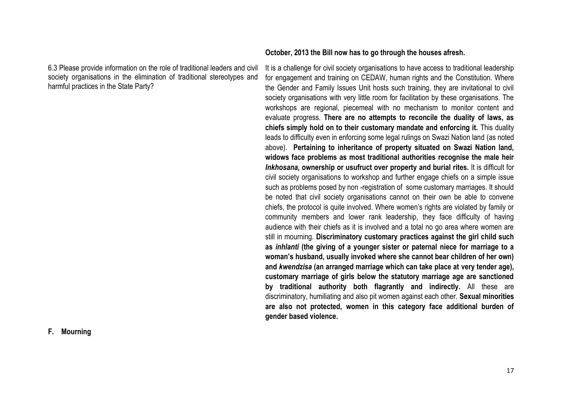6.3 Please provide information on the role of traditional leaders and civil society organisations in the elimination of traditional stereotypes and harmful practices in the State Party?

### **October, 2013 the Bill now has to go through the houses afresh.**

It is a challenge for civil society organisations to have access to traditional leadership for engagement and training on CEDAW, human rights and the Constitution. Where the Gender and Family Issues Unit hosts such training, they are invitational to civil society organisations with very little room for facilitation by these organisations. The workshops are regional, piecemeal with no mechanism to monitor content and evaluate progress. **There are no attempts to reconcile the duality of laws, as chiefs simply hold on to their customary mandate and enforcing it.** This duality leads to difficulty even in enforcing some legal rulings on Swazi Nation land (as noted above). **Pertaining to inheritance of property situated on Swazi Nation land, widows face problems as most traditional authorities recognise the male heir**  *Inkhosana,* **ownership or usufruct over property and burial rites.** It is difficult for civil society organisations to workshop and further engage chiefs on a simple issue such as problems posed by non -registration of some customary marriages. It should be noted that civil society organisations cannot on their own be able to convene chiefs, the protocol is quite involved. Where women's rights are violated by family or community members and lower rank leadership, they face difficulty of having audience with their chiefs as it is involved and a total no go area where women are still in mourning. **Discriminatory customary practices against the girl child such as** *inhlanti* **(the giving of a younger sister or paternal niece for marriage to a woman's husband, usually invoked where she cannot bear children of her own) and** *kwendzisa* **(an arranged marriage which can take place at very tender age), customary marriage of girls below the statutory marriage age are sanctioned by traditional authority both flagrantly and indirectly.** All these are discriminatory, humiliating and also pit women against each other. **Sexual minorities are also not protected, women in this category face additional burden of gender based violence.**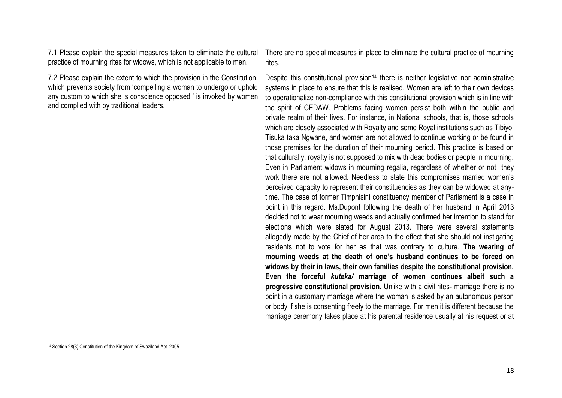7.1 Please explain the special measures taken to eliminate the cultural practice of mourning rites for widows, which is not applicable to men.

7.2 Please explain the extent to which the provision in the Constitution, which prevents society from 'compelling a woman to undergo or uphold any custom to which she is conscience opposed ' is invoked by women and complied with by traditional leaders.

There are no special measures in place to eliminate the cultural practice of mourning rites.

Despite this constitutional provision<sup>14</sup> there is neither legislative nor administrative systems in place to ensure that this is realised. Women are left to their own devices to operationalize non-compliance with this constitutional provision which is in line with the spirit of CEDAW. Problems facing women persist both within the public and private realm of their lives. For instance, in National schools, that is, those schools which are closely associated with Royalty and some Royal institutions such as Tibiyo, Tisuka taka Ngwane, and women are not allowed to continue working or be found in those premises for the duration of their mourning period. This practice is based on that culturally, royalty is not supposed to mix with dead bodies or people in mourning. Even in Parliament widows in mourning regalia, regardless of whether or not they work there are not allowed. Needless to state this compromises married women's perceived capacity to represent their constituencies as they can be widowed at anytime. The case of former Timphisini constituency member of Parliament is a case in point in this regard. Ms.Dupont following the death of her husband in April 2013 decided not to wear mourning weeds and actually confirmed her intention to stand for elections which were slated for August 2013. There were several statements allegedly made by the Chief of her area to the effect that she should not instigating residents not to vote for her as that was contrary to culture. **The wearing of mourning weeds at the death of one's husband continues to be forced on widows by their in laws, their own families despite the constitutional provision. Even the forceful** *kuteka/* **marriage of women continues albeit such a progressive constitutional provision.** Unlike with a civil rites- marriage there is no point in a customary marriage where the woman is asked by an autonomous person or body if she is consenting freely to the marriage. For men it is different because the marriage ceremony takes place at his parental residence usually at his request or at

 $\overline{\phantom{a}}$ 

<sup>14</sup> Section 28(3) Constitution of the Kingdom of Swaziland Act 2005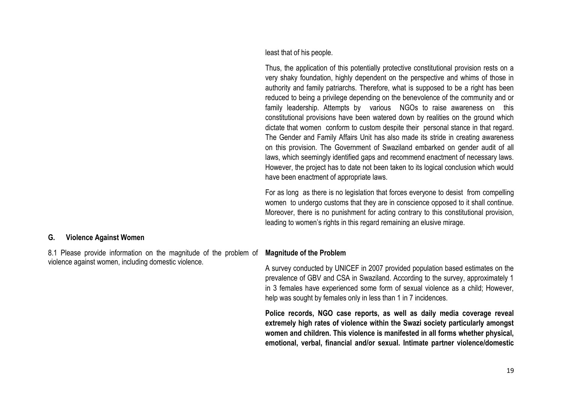least that of his people.

Thus, the application of this potentially protective constitutional provision rests on a very shaky foundation, highly dependent on the perspective and whims of those in authority and family patriarchs. Therefore, what is supposed to be a right has been reduced to being a privilege depending on the benevolence of the community and or family leadership. Attempts by various NGOs to raise awareness on this constitutional provisions have been watered down by realities on the ground which dictate that women conform to custom despite their personal stance in that regard. The Gender and Family Affairs Unit has also made its stride in creating awareness on this provision. The Government of Swaziland embarked on gender audit of all laws, which seemingly identified gaps and recommend enactment of necessary laws. However, the project has to date not been taken to its logical conclusion which would have been enactment of appropriate laws.

For as long as there is no legislation that forces everyone to desist from compelling women to undergo customs that they are in conscience opposed to it shall continue. Moreover, there is no punishment for acting contrary to this constitutional provision, leading to women's rights in this regard remaining an elusive mirage.

### **G. Violence Against Women**

8.1 Please provide information on the magnitude of the problem of violence against women, including domestic violence.

### **Magnitude of the Problem**

A survey conducted by UNICEF in 2007 provided population based estimates on the prevalence of GBV and CSA in Swaziland. According to the survey, approximately 1 in 3 females have experienced some form of sexual violence as a child; However, help was sought by females only in less than 1 in 7 incidences.

**Police records, NGO case reports, as well as daily media coverage reveal extremely high rates of violence within the Swazi society particularly amongst women and children. This violence is manifested in all forms whether physical, emotional, verbal, financial and/or sexual. Intimate partner violence/domestic**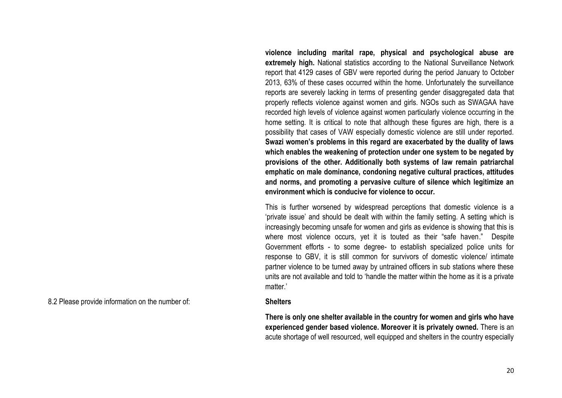**violence including marital rape, physical and psychological abuse are extremely high.** National statistics according to the National Surveillance Network report that 4129 cases of GBV were reported during the period January to October 2013, 63% of these cases occurred within the home. Unfortunately the surveillance reports are severely lacking in terms of presenting gender disaggregated data that properly reflects violence against women and girls. NGOs such as SWAGAA have recorded high levels of violence against women particularly violence occurring in the home setting. It is critical to note that although these figures are high, there is a possibility that cases of VAW especially domestic violence are still under reported. **Swazi women's problems in this regard are exacerbated by the duality of laws which enables the weakening of protection under one system to be negated by provisions of the other. Additionally both systems of law remain patriarchal emphatic on male dominance, condoning negative cultural practices, attitudes and norms, and promoting a pervasive culture of silence which legitimize an environment which is conducive for violence to occur.** 

This is further worsened by widespread perceptions that domestic violence is a 'private issue' and should be dealt with within the family setting. A setting which is increasingly becoming unsafe for women and girls as evidence is showing that this is where most violence occurs, yet it is touted as their "safe haven." Despite Government efforts - to some degree- to establish specialized police units for response to GBV, it is still common for survivors of domestic violence/ intimate partner violence to be turned away by untrained officers in sub stations where these units are not available and told to 'handle the matter within the home as it is a private matter<sup>'</sup>

8.2 Please provide information on the number of: **Shelters**

**There is only one shelter available in the country for women and girls who have experienced gender based violence. Moreover it is privately owned.** There is an acute shortage of well resourced, well equipped and shelters in the country especially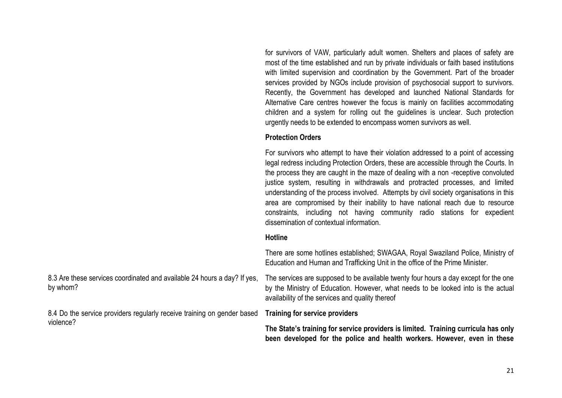for survivors of VAW, particularly adult women. Shelters and places of safety are most of the time established and run by private individuals or faith based institutions with limited supervision and coordination by the Government. Part of the broader services provided by NGOs include provision of psychosocial support to survivors. Recently, the Government has developed and launched National Standards for Alternative Care centres however the focus is mainly on facilities accommodating children and a system for rolling out the guidelines is unclear. Such protection urgently needs to be extended to encompass women survivors as well.

### **Protection Orders**

For survivors who attempt to have their violation addressed to a point of accessing legal redress including Protection Orders, these are accessible through the Courts. In the process they are caught in the maze of dealing with a non -receptive convoluted justice system, resulting in withdrawals and protracted processes, and limited understanding of the process involved. Attempts by civil society organisations in this area are compromised by their inability to have national reach due to resource constraints, including not having community radio stations for expedient dissemination of contextual information.

### **Hotline**

There are some hotlines established; SWAGAA, Royal Swaziland Police, Ministry of Education and Human and Trafficking Unit in the office of the Prime Minister.

8.3 Are these services coordinated and available 24 hours a day? If yes, by whom? The services are supposed to be available twenty four hours a day except for the one by the Ministry of Education. However, what needs to be looked into is the actual availability of the services and quality thereof

8.4 Do the service providers regularly receive training on gender based **Training for service providers** violence?

**The State's training for service providers is limited. Training curricula has only been developed for the police and health workers. However, even in these**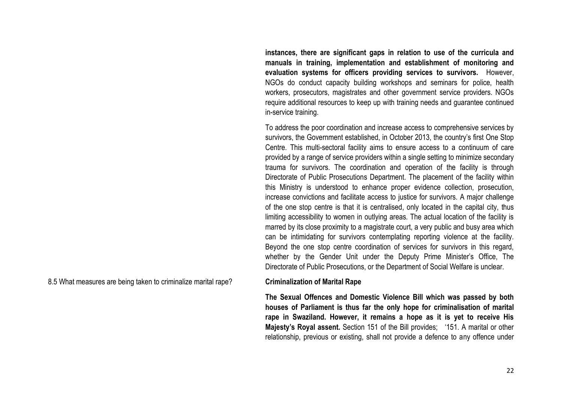**instances, there are significant gaps in relation to use of the curricula and manuals in training, implementation and establishment of monitoring and evaluation systems for officers providing services to survivors.** However, NGOs do conduct capacity building workshops and seminars for police, health workers, prosecutors, magistrates and other government service providers. NGOs require additional resources to keep up with training needs and guarantee continued in-service training.

To address the poor coordination and increase access to comprehensive services by survivors, the Government established, in October 2013, the country's first One Stop Centre. This multi-sectoral facility aims to ensure access to a continuum of care provided by a range of service providers within a single setting to minimize secondary trauma for survivors. The coordination and operation of the facility is through Directorate of Public Prosecutions Department. The placement of the facility within this Ministry is understood to enhance proper evidence collection, prosecution, increase convictions and facilitate access to justice for survivors. A major challenge of the one stop centre is that it is centralised, only located in the capital city, thus limiting accessibility to women in outlying areas. The actual location of the facility is marred by its close proximity to a magistrate court, a very public and busy area which can be intimidating for survivors contemplating reporting violence at the facility. Beyond the one stop centre coordination of services for survivors in this regard, whether by the Gender Unit under the Deputy Prime Minister's Office, The Directorate of Public Prosecutions, or the Department of Social Welfare is unclear.

8.5 What measures are being taken to criminalize marital rape? **Criminalization of Marital Rape**

**The Sexual Offences and Domestic Violence Bill which was passed by both houses of Parliament is thus far the only hope for criminalisation of marital rape in Swaziland. However, it remains a hope as it is yet to receive His Majesty's Royal assent.** Section 151 of the Bill provides; '151. A marital or other relationship, previous or existing, shall not provide a defence to any offence under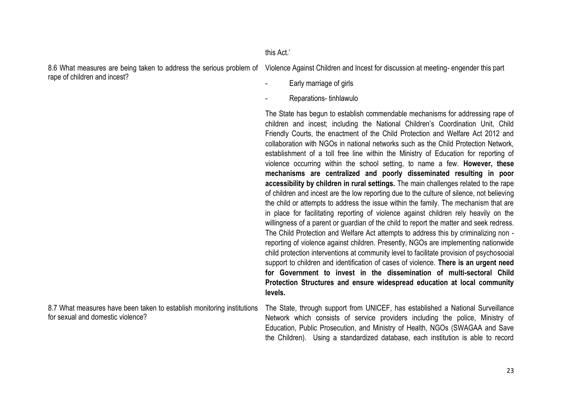### this Act.'

rape of children and incest?

8.6 What measures are being taken to address the serious problem of Violence Against Children and Incest for discussion at meeting- engender this part

- Early marriage of girls
- Reparations- tinhlawulo

The State has begun to establish commendable mechanisms for addressing rape of children and incest; including the National Children's Coordination Unit, Child Friendly Courts, the enactment of the Child Protection and Welfare Act 2012 and collaboration with NGOs in national networks such as the Child Protection Network, establishment of a toll free line within the Ministry of Education for reporting of violence occurring within the school setting, to name a few. **However, these mechanisms are centralized and poorly disseminated resulting in poor accessibility by children in rural settings.** The main challenges related to the rape of children and incest are the low reporting due to the culture of silence, not believing the child or attempts to address the issue within the family. The mechanism that are in place for facilitating reporting of violence against children rely heavily on the willingness of a parent or guardian of the child to report the matter and seek redress. The Child Protection and Welfare Act attempts to address this by criminalizing non reporting of violence against children. Presently, NGOs are implementing nationwide child protection interventions at community level to facilitate provision of psychosocial support to children and identification of cases of violence. **There is an urgent need for Government to invest in the dissemination of multi-sectoral Child Protection Structures and ensure widespread education at local community levels.**

8.7 What measures have been taken to establish monitoring institutions for sexual and domestic violence?

The State, through support from UNICEF, has established a National Surveillance Network which consists of service providers including the police, Ministry of Education, Public Prosecution, and Ministry of Health, NGOs (SWAGAA and Save the Children). Using a standardized database, each institution is able to record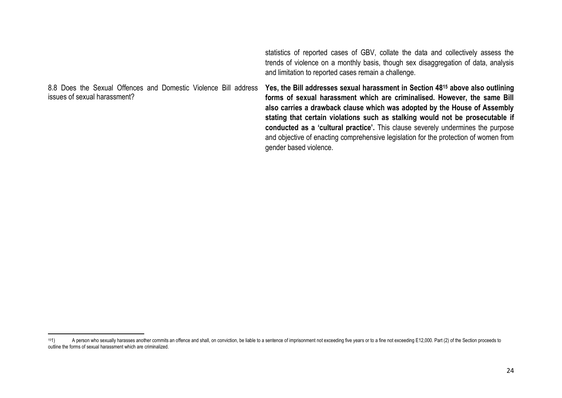statistics of reported cases of GBV, collate the data and collectively assess the trends of violence on a monthly basis, though sex disaggregation of data, analysis and limitation to reported cases remain a challenge.

8.8 Does the Sexual Offences and Domestic Violence Bill address issues of sexual harassment? **Yes, the Bill addresses sexual harassment in Section 48<sup>15</sup> above also outlining forms of sexual harassment which are criminalised. However, the same Bill also carries a drawback clause which was adopted by the House of Assembly stating that certain violations such as stalking would not be prosecutable if conducted as a 'cultural practice'.** This clause severely undermines the purpose and objective of enacting comprehensive legislation for the protection of women from gender based violence.

 $\overline{\phantom{a}}$ 

<sup>&</sup>lt;sup>151</sup> A person who sexually harasses another commits an offence and shall, on conviction, be liable to a sentence of imprisonment not exceeding five years or to a fine not exceeding E12,000. Part (2) of the Section proceed outline the forms of sexual harassment which are criminalized.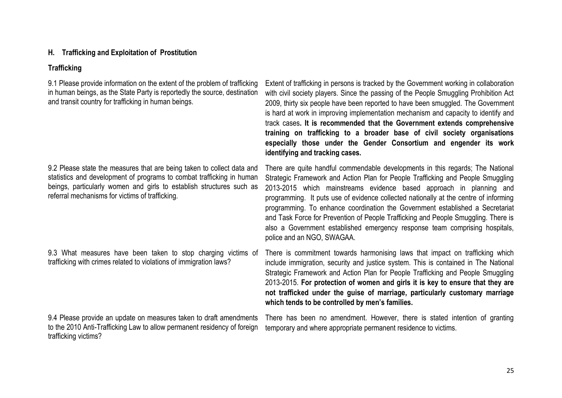### **H. Trafficking and Exploitation of Prostitution**

### **Trafficking**

9.1 Please provide information on the extent of the problem of trafficking in human beings, as the State Party is reportedly the source, destination and transit country for trafficking in human beings.

9.2 Please state the measures that are being taken to collect data and statistics and development of programs to combat trafficking in human beings, particularly women and girls to establish structures such as referral mechanisms for victims of trafficking.

9.3 What measures have been taken to stop charging victims of trafficking with crimes related to violations of immigration laws?

9.4 Please provide an update on measures taken to draft amendments to the 2010 Anti-Trafficking Law to allow permanent residency of foreign trafficking victims?

Extent of trafficking in persons is tracked by the Government working in collaboration with civil society players. Since the passing of the People Smuggling Prohibition Act 2009, thirty six people have been reported to have been smuggled. The Government is hard at work in improving implementation mechanism and capacity to identify and track cases**. It is recommended that the Government extends comprehensive training on trafficking to a broader base of civil society organisations especially those under the Gender Consortium and engender its work identifying and tracking cases.**

There are quite handful commendable developments in this regards; The National Strategic Framework and Action Plan for People Trafficking and People Smuggling 2013-2015 which mainstreams evidence based approach in planning and programming. It puts use of evidence collected nationally at the centre of informing programming. To enhance coordination the Government established a Secretariat and Task Force for Prevention of People Trafficking and People Smuggling. There is also a Government established emergency response team comprising hospitals, police and an NGO, SWAGAA.

There is commitment towards harmonising laws that impact on trafficking which include immigration, security and justice system. This is contained in The National Strategic Framework and Action Plan for People Trafficking and People Smuggling 2013-2015. **For protection of women and girls it is key to ensure that they are not trafficked under the guise of marriage, particularly customary marriage which tends to be controlled by men's families.**

There has been no amendment. However, there is stated intention of granting temporary and where appropriate permanent residence to victims.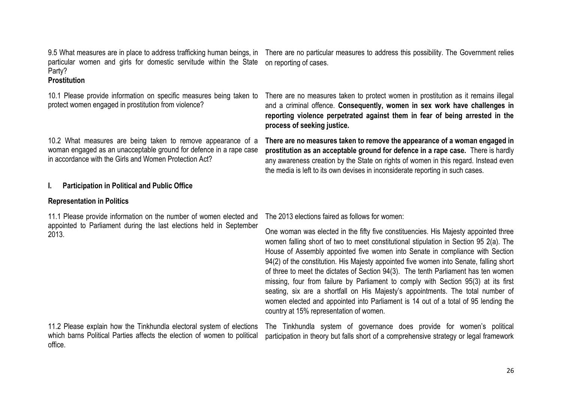particular women and girls for domestic servitude within the State on reporting of cases. Party?

### **Prostitution**

protect women engaged in prostitution from violence?

10.2 What measures are being taken to remove appearance of a woman engaged as an unacceptable ground for defence in a rape case in accordance with the Girls and Women Protection Act?

### **I. Participation in Political and Public Office**

### **Representation in Politics**

11.1 Please provide information on the number of women elected and appointed to Parliament during the last elections held in September 2013.

11.2 Please explain how the Tinkhundla electoral system of elections which barns Political Parties affects the election of women to political office.

9.5 What measures are in place to address trafficking human beings, in There are no particular measures to address this possibility. The Government relies

10.1 Please provide information on specific measures being taken to There are no measures taken to protect women in prostitution as it remains illegal and a criminal offence. **Consequently, women in sex work have challenges in reporting violence perpetrated against them in fear of being arrested in the process of seeking justice.**

> **There are no measures taken to remove the appearance of a woman engaged in prostitution as an acceptable ground for defence in a rape case.** There is hardly any awareness creation by the State on rights of women in this regard. Instead even the media is left to its own devises in inconsiderate reporting in such cases.

The 2013 elections faired as follows for women:

One woman was elected in the fifty five constituencies. His Majesty appointed three women falling short of two to meet constitutional stipulation in Section 95 2(a). The House of Assembly appointed five women into Senate in compliance with Section 94(2) of the constitution. His Majesty appointed five women into Senate, falling short of three to meet the dictates of Section 94(3). The tenth Parliament has ten women missing, four from failure by Parliament to comply with Section 95(3) at its first seating, six are a shortfall on His Majesty's appointments. The total number of women elected and appointed into Parliament is 14 out of a total of 95 lending the country at 15% representation of women.

The Tinkhundla system of governance does provide for women's political participation in theory but falls short of a comprehensive strategy or legal framework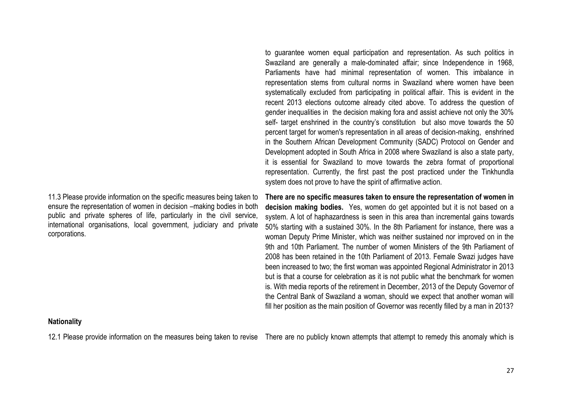11.3 Please provide information on the specific measures being taken to ensure the representation of women in decision –making bodies in both public and private spheres of life, particularly in the civil service, international organisations, local government, judiciary and private corporations.

to guarantee women equal participation and representation. As such politics in Swaziland are generally a male-dominated affair; since Independence in 1968, Parliaments have had minimal representation of women. This imbalance in representation stems from cultural norms in Swaziland where women have been systematically excluded from participating in political affair. This is evident in the recent 2013 elections outcome already cited above. To address the question of gender inequalities in the decision making fora and assist achieve not only the 30% self- target enshrined in the country's constitution but also move towards the 50 percent target for women's representation in all areas of decision-making, enshrined in the Southern African Development Community (SADC) Protocol on Gender and Development adopted in South Africa in 2008 where Swaziland is also a state party, it is essential for Swaziland to move towards the zebra format of proportional representation. Currently, the first past the post practiced under the Tinkhundla system does not prove to have the spirit of affirmative action.

**There are no specific measures taken to ensure the representation of women in decision making bodies.** Yes, women do get appointed but it is not based on a system. A lot of haphazardness is seen in this area than incremental gains towards 50% starting with a sustained 30%. In the 8th Parliament for instance, there was a woman Deputy Prime Minister, which was neither sustained nor improved on in the 9th and 10th Parliament. The number of women Ministers of the 9th Parliament of 2008 has been retained in the 10th Parliament of 2013. Female Swazi judges have been increased to two; the first woman was appointed Regional Administrator in 2013 but is that a course for celebration as it is not public what the benchmark for women is. With media reports of the retirement in December, 2013 of the Deputy Governor of the Central Bank of Swaziland a woman, should we expect that another woman will fill her position as the main position of Governor was recently filled by a man in 2013?

### **Nationality**

12.1 Please provide information on the measures being taken to revise There are no publicly known attempts that attempt to remedy this anomaly which is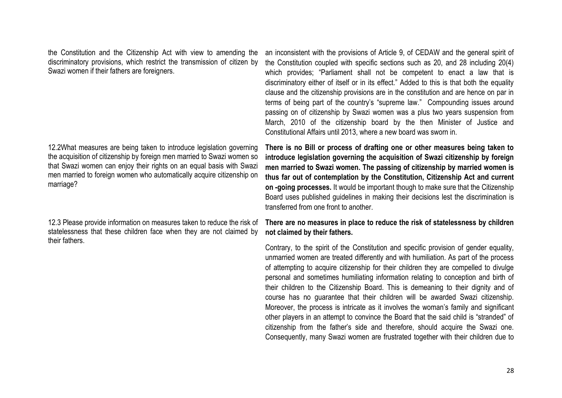the Constitution and the Citizenship Act with view to amending the discriminatory provisions, which restrict the transmission of citizen by Swazi women if their fathers are foreigners.

12.2What measures are being taken to introduce legislation governing the acquisition of citizenship by foreign men married to Swazi women so that Swazi women can enjoy their rights on an equal basis with Swazi men married to foreign women who automatically acquire citizenship on marriage?

12.3 Please provide information on measures taken to reduce the risk of statelessness that these children face when they are not claimed by their fathers.

an inconsistent with the provisions of Article 9, of CEDAW and the general spirit of the Constitution coupled with specific sections such as 20, and 28 including 20(4) which provides: "Parliament shall not be competent to enact a law that is discriminatory either of itself or in its effect." Added to this is that both the equality clause and the citizenship provisions are in the constitution and are hence on par in terms of being part of the country's "supreme law." Compounding issues around passing on of citizenship by Swazi women was a plus two years suspension from March, 2010 of the citizenship board by the then Minister of Justice and Constitutional Affairs until 2013, where a new board was sworn in.

**There is no Bill or process of drafting one or other measures being taken to introduce legislation governing the acquisition of Swazi citizenship by foreign men married to Swazi women. The passing of citizenship by married women is thus far out of contemplation by the Constitution, Citizenship Act and current on -going processes.** It would be important though to make sure that the Citizenship Board uses published guidelines in making their decisions lest the discrimination is transferred from one front to another.

### **There are no measures in place to reduce the risk of statelessness by children not claimed by their fathers.**

Contrary, to the spirit of the Constitution and specific provision of gender equality, unmarried women are treated differently and with humiliation. As part of the process of attempting to acquire citizenship for their children they are compelled to divulge personal and sometimes humiliating information relating to conception and birth of their children to the Citizenship Board. This is demeaning to their dignity and of course has no guarantee that their children will be awarded Swazi citizenship. Moreover, the process is intricate as it involves the woman's family and significant other players in an attempt to convince the Board that the said child is "stranded" of citizenship from the father's side and therefore, should acquire the Swazi one. Consequently, many Swazi women are frustrated together with their children due to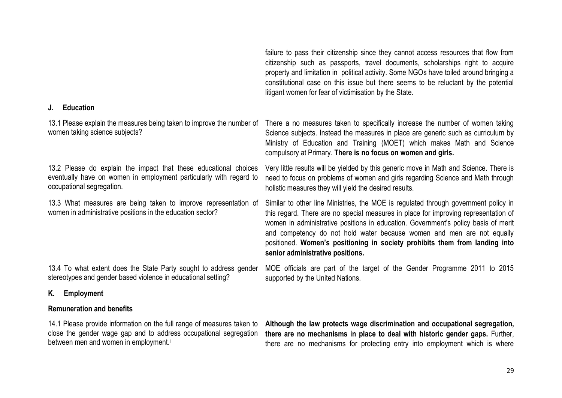citizenship such as passports, travel documents, scholarships right to acquire property and limitation in political activity. Some NGOs have toiled around bringing a constitutional case on this issue but there seems to be reluctant by the potential litigant women for fear of victimisation by the State. **J. Education** 13.1 Please explain the measures being taken to improve the number of There a no measures taken to specifically increase the number of women taking women taking science subjects? Science subjects. Instead the measures in place are generic such as curriculum by Ministry of Education and Training (MOET) which makes Math and Science compulsory at Primary. **There is no focus on women and girls.** 13.2 Please do explain the impact that these educational choices eventually have on women in employment particularly with regard to occupational segregation. Very little results will be yielded by this generic move in Math and Science. There is need to focus on problems of women and girls regarding Science and Math through holistic measures they will yield the desired results. 13.3 What measures are being taken to improve representation of women in administrative positions in the education sector? Similar to other line Ministries, the MOE is regulated through government policy in this regard. There are no special measures in place for improving representation of women in administrative positions in education. Government's policy basis of merit and competency do not hold water because women and men are not equally positioned. **Women's positioning in society prohibits them from landing into senior administrative positions.** 13.4 To what extent does the State Party sought to address gender stereotypes and gender based violence in educational setting? MOE officials are part of the target of the Gender Programme 2011 to 2015 supported by the United Nations.

### **K. Employment**

# **Remuneration and benefits**

14.1 Please provide information on the full range of measures taken to close the gender wage gap and to address occupational segregation between men and women in employment.<sup>i</sup>

**Although the law protects wage discrimination and occupational segregation, there are no mechanisms in place to deal with historic gender gaps.** Further, there are no mechanisms for protecting entry into employment which is where

failure to pass their citizenship since they cannot access resources that flow from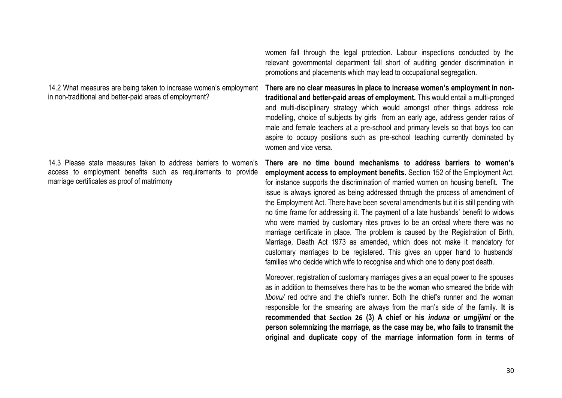14.2 What measures are being taken to increase women's employment in non-traditional and better-paid areas of employment?

14.3 Please state measures taken to address barriers to women's access to employment benefits such as requirements to provide marriage certificates as proof of matrimony

women fall through the legal protection. Labour inspections conducted by the relevant governmental department fall short of auditing gender discrimination in promotions and placements which may lead to occupational segregation.

**There are no clear measures in place to increase women's employment in nontraditional and better-paid areas of employment.** This would entail a multi-pronged and multi-disciplinary strategy which would amongst other things address role modelling, choice of subjects by girls from an early age, address gender ratios of male and female teachers at a pre-school and primary levels so that boys too can aspire to occupy positions such as pre-school teaching currently dominated by women and vice versa.

**There are no time bound mechanisms to address barriers to women's employment access to employment benefits.** Section 152 of the Employment Act, for instance supports the discrimination of married women on housing benefit. The issue is always ignored as being addressed through the process of amendment of the Employment Act. There have been several amendments but it is still pending with no time frame for addressing it. The payment of a late husbands' benefit to widows who were married by customary rites proves to be an ordeal where there was no marriage certificate in place. The problem is caused by the Registration of Birth, Marriage, Death Act 1973 as amended, which does not make it mandatory for customary marriages to be registered. This gives an upper hand to husbands' families who decide which wife to recognise and which one to deny post death.

Moreover, registration of customary marriages gives a an equal power to the spouses as in addition to themselves there has to be the woman who smeared the bride with *libovu* red ochre and the chief's runner. Both the chief's runner and the woman responsible for the smearing are always from the man's side of the family. **It is recommended that Section 26 (3) A chief or his** *induna* **or** *umgijimi* **or the person solemnizing the marriage, as the case may be, who fails to transmit the original and duplicate copy of the marriage information form in terms of**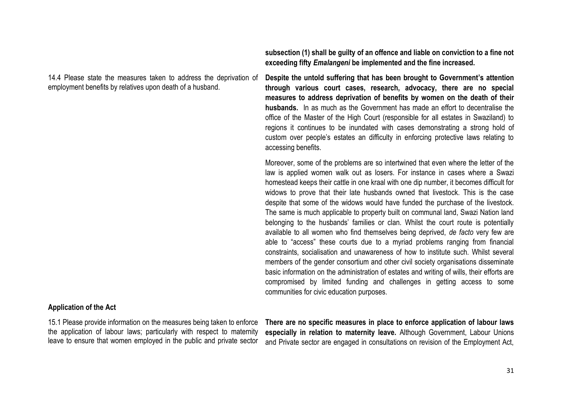14.4 Please state the measures taken to address the deprivation of employment benefits by relatives upon death of a husband.

**subsection (1) shall be guilty of an offence and liable on conviction to a fine not exceeding fifty** *Emalangeni* **be implemented and the fine increased.**

**Despite the untold suffering that has been brought to Government's attention through various court cases, research, advocacy, there are no special measures to address deprivation of benefits by women on the death of their husbands.** In as much as the Government has made an effort to decentralise the office of the Master of the High Court (responsible for all estates in Swaziland) to regions it continues to be inundated with cases demonstrating a strong hold of custom over people's estates an difficulty in enforcing protective laws relating to accessing benefits.

Moreover, some of the problems are so intertwined that even where the letter of the law is applied women walk out as losers. For instance in cases where a Swazi homestead keeps their cattle in one kraal with one dip number, it becomes difficult for widows to prove that their late husbands owned that livestock. This is the case despite that some of the widows would have funded the purchase of the livestock. The same is much applicable to property built on communal land, Swazi Nation land belonging to the husbands' families or clan. Whilst the court route is potentially available to all women who find themselves being deprived, *de facto* very few are able to "access" these courts due to a myriad problems ranging from financial constraints, socialisation and unawareness of how to institute such. Whilst several members of the gender consortium and other civil society organisations disseminate basic information on the administration of estates and writing of wills, their efforts are compromised by limited funding and challenges in getting access to some communities for civic education purposes.

### **Application of the Act**

15.1 Please provide information on the measures being taken to enforce the application of labour laws; particularly with respect to maternity leave to ensure that women employed in the public and private sector

**There are no specific measures in place to enforce application of labour laws especially in relation to maternity leave.** Although Government, Labour Unions and Private sector are engaged in consultations on revision of the Employment Act,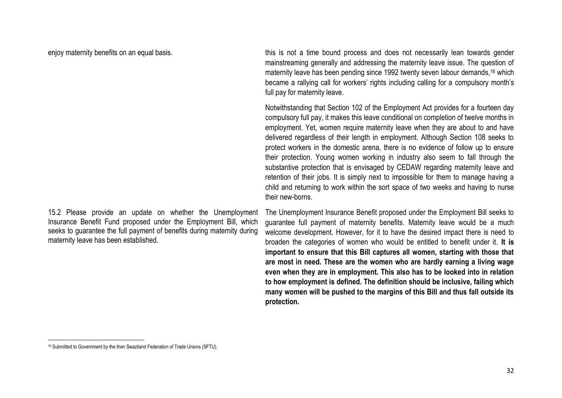15.2 Please provide an update on whether the Unemployment Insurance Benefit Fund proposed under the Employment Bill, which seeks to guarantee the full payment of benefits during maternity during maternity leave has been established.

enjoy maternity benefits on an equal basis. This is not a time bound process and does not necessarily lean towards gender mainstreaming generally and addressing the maternity leave issue. The question of maternity leave has been pending since 1992 twenty seven labour demands.<sup>16</sup> which became a rallying call for workers' rights including calling for a compulsory month's full pay for maternity leave.

> Notwithstanding that Section 102 of the Employment Act provides for a fourteen day compulsory full pay, it makes this leave conditional on completion of twelve months in employment. Yet, women require maternity leave when they are about to and have delivered regardless of their length in employment. Although Section 108 seeks to protect workers in the domestic arena, there is no evidence of follow up to ensure their protection. Young women working in industry also seem to fall through the substantive protection that is envisaged by CEDAW regarding maternity leave and retention of their jobs. It is simply next to impossible for them to manage having a child and returning to work within the sort space of two weeks and having to nurse their new-borns.

> The Unemployment Insurance Benefit proposed under the Employment Bill seeks to guarantee full payment of maternity benefits. Maternity leave would be a much welcome development. However, for it to have the desired impact there is need to broaden the categories of women who would be entitled to benefit under it. **It is important to ensure that this Bill captures all women, starting with those that are most in need. These are the women who are hardly earning a living wage even when they are in employment. This also has to be looked into in relation to how employment is defined. The definition should be inclusive, failing which many women will be pushed to the margins of this Bill and thus fall outside its protection.**

 $\overline{\phantom{a}}$ <sup>16</sup> Submitted to Government by the then Swaziland Federation of Trade Unions (SFTU).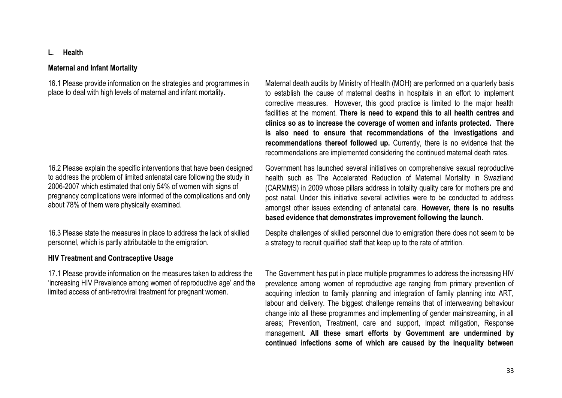# **L. Health**

### **Maternal and Infant Mortality**

16.1 Please provide information on the strategies and programmes in place to deal with high levels of maternal and infant mortality.

16.2 Please explain the specific interventions that have been designed to address the problem of limited antenatal care following the study in 2006-2007 which estimated that only 54% of women with signs of pregnancy complications were informed of the complications and only about 78% of them were physically examined.

16.3 Please state the measures in place to address the lack of skilled personnel, which is partly attributable to the emigration.

### **HIV Treatment and Contraceptive Usage**

17.1 Please provide information on the measures taken to address the 'increasing HIV Prevalence among women of reproductive age' and the limited access of anti-retroviral treatment for pregnant women.

Maternal death audits by Ministry of Health (MOH) are performed on a quarterly basis to establish the cause of maternal deaths in hospitals in an effort to implement corrective measures. However, this good practice is limited to the major health facilities at the moment. **There is need to expand this to all health centres and clinics so as to increase the coverage of women and infants protected. There is also need to ensure that recommendations of the investigations and recommendations thereof followed up.** Currently, there is no evidence that the recommendations are implemented considering the continued maternal death rates.

Government has launched several initiatives on comprehensive sexual reproductive health such as The Accelerated Reduction of Maternal Mortality in Swaziland (CARMMS) in 2009 whose pillars address in totality quality care for mothers pre and post natal. Under this initiative several activities were to be conducted to address amongst other issues extending of antenatal care. **However, there is no results based evidence that demonstrates improvement following the launch.**

Despite challenges of skilled personnel due to emigration there does not seem to be a strategy to recruit qualified staff that keep up to the rate of attrition.

The Government has put in place multiple programmes to address the increasing HIV prevalence among women of reproductive age ranging from primary prevention of acquiring infection to family planning and integration of family planning into ART, labour and delivery. The biggest challenge remains that of interweaving behaviour change into all these programmes and implementing of gender mainstreaming, in all areas; Prevention, Treatment, care and support, Impact mitigation, Response management. **All these smart efforts by Government are undermined by continued infections some of which are caused by the inequality between**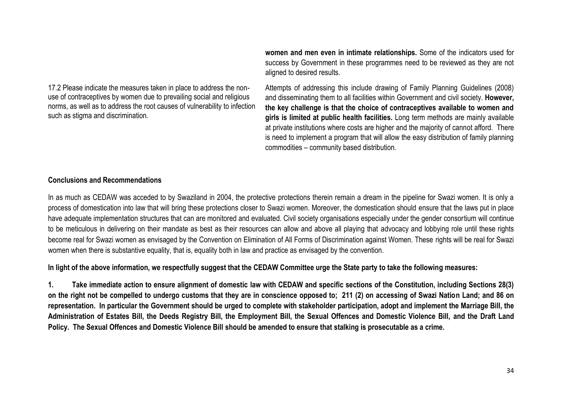17.2 Please indicate the measures taken in place to address the nonuse of contraceptives by women due to prevailing social and religious norms, as well as to address the root causes of vulnerability to infection such as stigma and discrimination.

**women and men even in intimate relationships.** Some of the indicators used for success by Government in these programmes need to be reviewed as they are not aligned to desired results.

Attempts of addressing this include drawing of Family Planning Guidelines (2008) and disseminating them to all facilities within Government and civil society. **However, the key challenge is that the choice of contraceptives available to women and girls is limited at public health facilities.** Long term methods are mainly available at private institutions where costs are higher and the majority of cannot afford. There is need to implement a program that will allow the easy distribution of family planning commodities – community based distribution.

### **Conclusions and Recommendations**

In as much as CEDAW was acceded to by Swaziland in 2004, the protective protections therein remain a dream in the pipeline for Swazi women. It is only a process of domestication into law that will bring these protections closer to Swazi women. Moreover, the domestication should ensure that the laws put in place have adequate implementation structures that can are monitored and evaluated. Civil society organisations especially under the gender consortium will continue to be meticulous in delivering on their mandate as best as their resources can allow and above all playing that advocacy and lobbying role until these rights become real for Swazi women as envisaged by the Convention on Elimination of All Forms of Discrimination against Women. These rights will be real for Swazi women when there is substantive equality, that is, equality both in law and practice as envisaged by the convention.

**In light of the above information, we respectfully suggest that the CEDAW Committee urge the State party to take the following measures:**

**1. Take immediate action to ensure alignment of domestic law with CEDAW and specific sections of the Constitution, including Sections 28(3) on the right not be compelled to undergo customs that they are in conscience opposed to; 211 (2) on accessing of Swazi Nation Land; and 86 on representation. In particular the Government should be urged to complete with stakeholder participation, adopt and implement the Marriage Bill, the Administration of Estates Bill, the Deeds Registry Bill, the Employment Bill, the Sexual Offences and Domestic Violence Bill, and the Draft Land Policy. The Sexual Offences and Domestic Violence Bill should be amended to ensure that stalking is prosecutable as a crime.**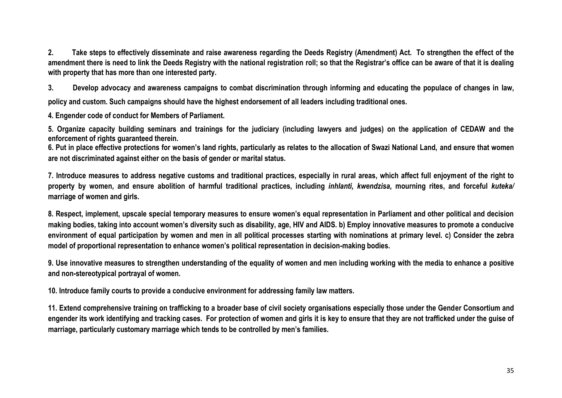**2. Take steps to effectively disseminate and raise awareness regarding the Deeds Registry (Amendment) Act. To strengthen the effect of the amendment there is need to link the Deeds Registry with the national registration roll; so that the Registrar's office can be aware of that it is dealing with property that has more than one interested party.**

**3. Develop advocacy and awareness campaigns to combat discrimination through informing and educating the populace of changes in law,** 

**policy and custom. Such campaigns should have the highest endorsement of all leaders including traditional ones.**

**4. Engender code of conduct for Members of Parliament.**

**5. Organize capacity building seminars and trainings for the judiciary (including lawyers and judges) on the application of CEDAW and the enforcement of rights guaranteed therein.**

**6. Put in place effective protections for women's land rights, particularly as relates to the allocation of Swazi National Land, and ensure that women are not discriminated against either on the basis of gender or marital status.**

**7. Introduce measures to address negative customs and traditional practices, especially in rural areas, which affect full enjoyment of the right to property by women, and ensure abolition of harmful traditional practices, including** *inhlanti, kwendzisa,* **mourning rites, and forceful** *kuteka/* **marriage of women and girls.**

**8. Respect, implement, upscale special temporary measures to ensure women's equal representation in Parliament and other political and decision making bodies, taking into account women's diversity such as disability, age, HIV and AIDS. b) Employ innovative measures to promote a conducive environment of equal participation by women and men in all political processes starting with nominations at primary level. c) Consider the zebra model of proportional representation to enhance women's political representation in decision-making bodies.**

**9. Use innovative measures to strengthen understanding of the equality of women and men including working with the media to enhance a positive and non-stereotypical portrayal of women.**

**10. Introduce family courts to provide a conducive environment for addressing family law matters.**

**11. Extend comprehensive training on trafficking to a broader base of civil society organisations especially those under the Gender Consortium and engender its work identifying and tracking cases. For protection of women and girls it is key to ensure that they are not trafficked under the guise of marriage, particularly customary marriage which tends to be controlled by men's families.**